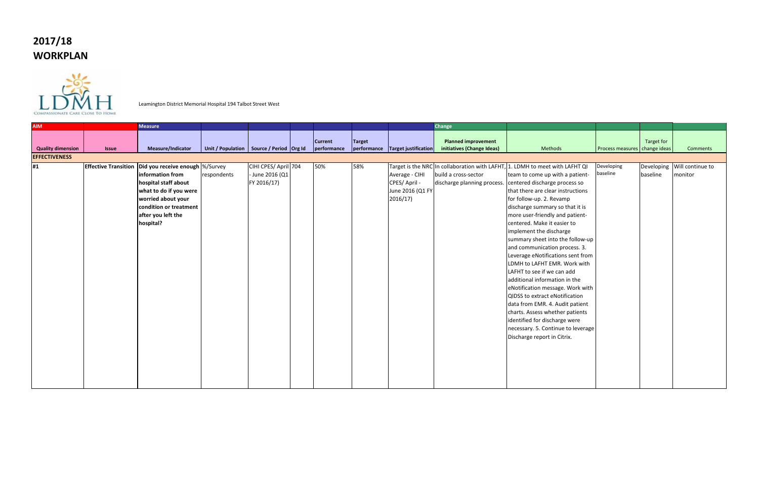## **2017/18 WORKPLAN**



Leamington District Memorial Hospital 194 Talbot Street West

| <b>AIM</b><br><b>Change</b><br><b>Measure</b><br><b>Planned improvement</b><br><b>Current</b><br><b>Target</b>                                                                                                                                                                                                                                                                                                                                                                                                                                                                                                                                                                                                                                                                                                                                                                                                                                                                                                                                                                                                                                                                                                                                                                  | Target for |                                        |
|---------------------------------------------------------------------------------------------------------------------------------------------------------------------------------------------------------------------------------------------------------------------------------------------------------------------------------------------------------------------------------------------------------------------------------------------------------------------------------------------------------------------------------------------------------------------------------------------------------------------------------------------------------------------------------------------------------------------------------------------------------------------------------------------------------------------------------------------------------------------------------------------------------------------------------------------------------------------------------------------------------------------------------------------------------------------------------------------------------------------------------------------------------------------------------------------------------------------------------------------------------------------------------|------------|----------------------------------------|
| Unit / Population   Source / Period   Org Id<br>performance<br>performance Target justification<br>initiatives (Change Ideas)<br><b>Quality dimension</b><br>Measure/Indicator<br>Methods<br>Process measures change ideas<br><b>Issue</b>                                                                                                                                                                                                                                                                                                                                                                                                                                                                                                                                                                                                                                                                                                                                                                                                                                                                                                                                                                                                                                      |            | Comments                               |
| <b>EFFECTIVENESS</b>                                                                                                                                                                                                                                                                                                                                                                                                                                                                                                                                                                                                                                                                                                                                                                                                                                                                                                                                                                                                                                                                                                                                                                                                                                                            |            |                                        |
| <b>Effective Transition Did you receive enough  %/Survey</b><br>CIHI CPES/ April 704<br>50%<br>#1<br>58%<br>Target is the NRC In collaboration with LAFHT, 1. LDMH to meet with LAFHT QI<br>Developing<br>baseline<br>information from<br>June 2016 (Q1<br>Average - CIHI<br>build a cross-sector<br>team to come up with a patient-<br>respondents<br>CPES/April -<br>hospital staff about<br>FY 2016/17)<br>discharge planning process. centered discharge process so<br>what to do if you were<br>June 2016 (Q1 FY<br>that there are clear instructions<br>2016/17<br>worried about your<br>for follow-up. 2. Revamp<br>condition or treatment<br>discharge summary so that it is<br>after you left the<br>more user-friendly and patient-<br>hospital?<br>centered. Make it easier to<br>implement the discharge<br>summary sheet into the follow-up<br>and communication process. 3.<br>Leverage eNotifications sent from<br>LDMH to LAFHT EMR. Work with<br>LAFHT to see if we can add<br>additional information in the<br>eNotification message. Work with<br>QIDSS to extract eNotification<br>data from EMR. 4. Audit patient<br>charts. Assess whether patients<br>identified for discharge were<br>necessary. 5. Continue to leverage<br>Discharge report in Citrix. | baseline   | Developing Will continue to<br>monitor |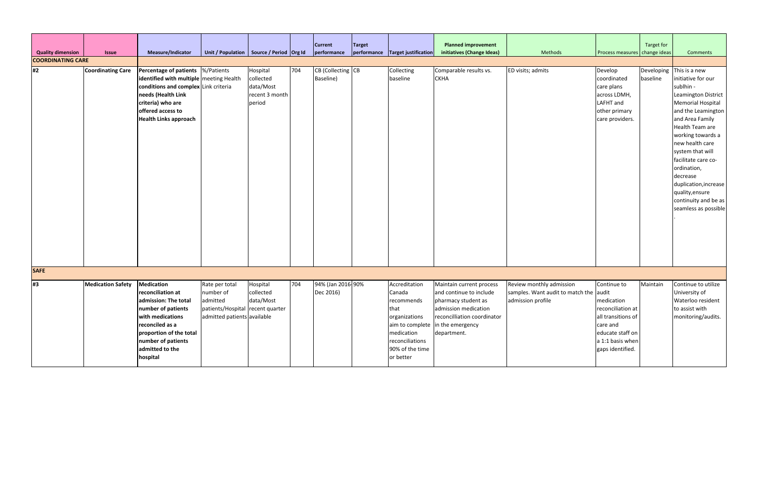| <b>Quality dimension</b>       | <b>Issue</b>             | Measure/Indicator                                                                                                                                                                                                     | Unit / Population   Source / Period   Org Id                                                               |                                                                |     | <b>Current</b><br>performance  | <b>Target</b> | performance Target justification                                                                                                                                    | <b>Planned improvement</b><br>initiatives (Change Ideas)                                                                                         | Methods                                                                                 | Process measures   change ideas                                                                                                              | Target for | <b>Comments</b>                                                                                                                                                                                                                                                              |
|--------------------------------|--------------------------|-----------------------------------------------------------------------------------------------------------------------------------------------------------------------------------------------------------------------|------------------------------------------------------------------------------------------------------------|----------------------------------------------------------------|-----|--------------------------------|---------------|---------------------------------------------------------------------------------------------------------------------------------------------------------------------|--------------------------------------------------------------------------------------------------------------------------------------------------|-----------------------------------------------------------------------------------------|----------------------------------------------------------------------------------------------------------------------------------------------|------------|------------------------------------------------------------------------------------------------------------------------------------------------------------------------------------------------------------------------------------------------------------------------------|
| <b>COORDINATING CARE</b><br>#2 | <b>Coordinating Care</b> | Percentage of patients  %/Patients<br>identified with multiple meeting Health<br>conditions and complex Link criteria<br>needs (Health Link<br>criteria) who are<br>offered access to<br><b>Health Links approach</b> |                                                                                                            | Hospital<br>collected<br>data/Most<br>recent 3 month<br>period | 704 | CB (Collecting CB<br>Baseline) |               | Collecting<br>baseline                                                                                                                                              | Comparable results vs.<br><b>CKHA</b>                                                                                                            | ED visits; admits                                                                       | Develop<br>coordinated<br>care plans<br>across LDMH,<br>LAFHT and<br>other primary<br>care providers.                                        | baseline   | Developing This is a new<br>initiative for our<br>sublhin -<br>Leamington District<br><b>Memorial Hospital</b><br>and the Leamington<br>and Area Family<br>Health Team are<br>working towards a<br>new health care<br>system that will<br>facilitate care co-<br>ordination, |
|                                |                          |                                                                                                                                                                                                                       |                                                                                                            |                                                                |     |                                |               |                                                                                                                                                                     |                                                                                                                                                  |                                                                                         |                                                                                                                                              |            | decrease<br>duplication, increase<br>quality, ensure<br>continuity and be as<br>seamless as possible                                                                                                                                                                         |
| <b>SAFE</b>                    |                          |                                                                                                                                                                                                                       |                                                                                                            |                                                                |     |                                |               |                                                                                                                                                                     |                                                                                                                                                  |                                                                                         |                                                                                                                                              |            |                                                                                                                                                                                                                                                                              |
| #3                             | <b>Medication Safety</b> | <b>Medication</b><br>reconciliation at<br>admission: The total<br>number of patients<br>with medications<br>reconciled as a<br>proportion of the total<br>number of patients<br>admitted to the<br>hospital           | Rate per total<br>number of<br>admitted<br>patients/Hospital recent quarter<br>admitted patients available | Hospital<br>collected<br>data/Most                             | 704 | 94% (Jan 2016-90%<br>Dec 2016) |               | Accreditation<br>Canada<br>recommends<br>that<br>organizations<br>aim to complete in the emergency<br>medication<br>reconciliations<br>90% of the time<br>or better | Maintain current process<br>and continue to include<br>pharmacy student as<br>admission medication<br>reconcilliation coordinator<br>department. | Review monthly admission<br>samples. Want audit to match the audit<br>admission profile | Continue to<br>medication<br>reconciliation at<br>all transitions of<br>care and<br>educate staff on<br>a 1:1 basis when<br>gaps identified. | Maintain   | Continue to utilize<br>University of<br>Waterloo resident<br>to assist with<br>monitoring/audits.                                                                                                                                                                            |